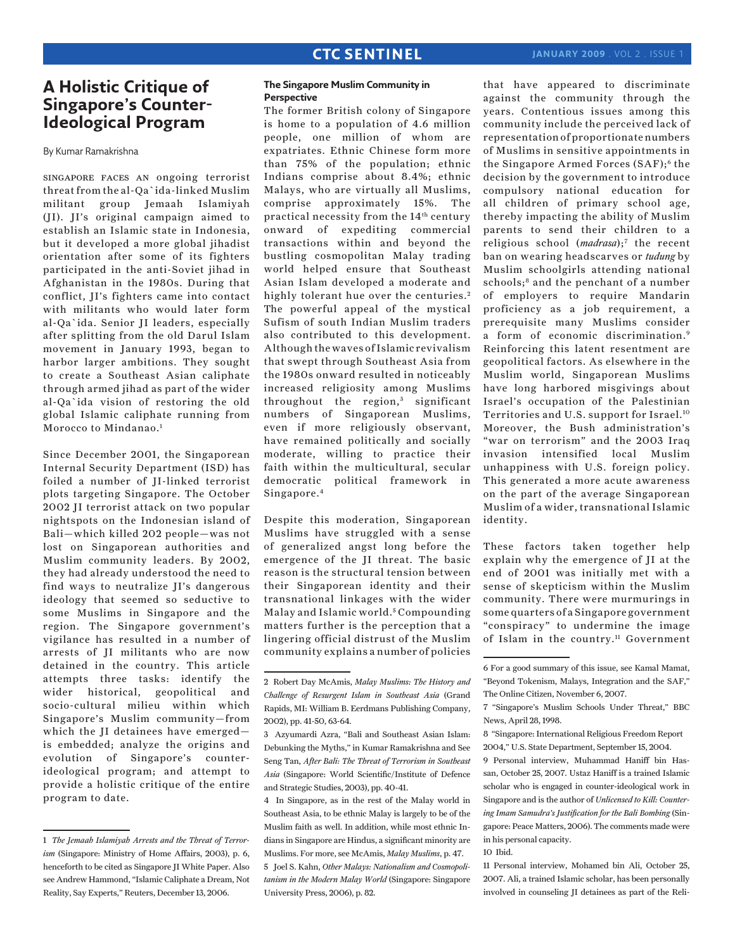# **A Holistic Critique of Singapore's Counter-Ideological Program**

By Kumar Ramakrishna

singapore faces an ongoing terrorist threat from the al-Qa`ida-linked Muslim militant group Jemaah Islamiyah (JI). JI's original campaign aimed to establish an Islamic state in Indonesia, but it developed a more global jihadist orientation after some of its fighters participated in the anti-Soviet jihad in Afghanistan in the 1980s. During that conflict, JI's fighters came into contact with militants who would later form al-Qa`ida. Senior JI leaders, especially after splitting from the old Darul Islam movement in January 1993, began to harbor larger ambitions. They sought to create a Southeast Asian caliphate through armed jihad as part of the wider al-Qa`ida vision of restoring the old global Islamic caliphate running from Morocco to Mindanao.<sup>1</sup>

Since December 2001, the Singaporean Internal Security Department (ISD) has foiled a number of JI-linked terrorist plots targeting Singapore. The October 2002 JI terrorist attack on two popular nightspots on the Indonesian island of Bali—which killed 202 people—was not lost on Singaporean authorities and Muslim community leaders. By 2002, they had already understood the need to find ways to neutralize JI's dangerous ideology that seemed so seductive to some Muslims in Singapore and the region. The Singapore government's vigilance has resulted in a number of arrests of JI militants who are now detained in the country. This article attempts three tasks: identify the wider historical, geopolitical and socio-cultural milieu within which Singapore's Muslim community—from which the JI detainees have emerged is embedded; analyze the origins and evolution of Singapore's counterideological program; and attempt to provide a holistic critique of the entire program to date.

### **The Singapore Muslim Community in Perspective**

The former British colony of Singapore is home to a population of 4.6 million people, one million of whom are expatriates. Ethnic Chinese form more than 75% of the population; ethnic Indians comprise about 8.4%; ethnic Malays, who are virtually all Muslims, comprise approximately 15%. The practical necessity from the 14<sup>th</sup> century onward of expediting commercial transactions within and beyond the bustling cosmopolitan Malay trading world helped ensure that Southeast Asian Islam developed a moderate and highly tolerant hue over the centuries. 2 The powerful appeal of the mystical Sufism of south Indian Muslim traders also contributed to this development. Although the waves of Islamic revivalism that swept through Southeast Asia from the 1980s onward resulted in noticeably increased religiosity among Muslims throughout the region, 3 significant numbers of Singaporean Muslims, even if more religiously observant, have remained politically and socially moderate, willing to practice their faith within the multicultural, secular democratic political framework in Singapore. 4

Despite this moderation, Singaporean Muslims have struggled with a sense of generalized angst long before the emergence of the JI threat. The basic reason is the structural tension between their Singaporean identity and their transnational linkages with the wider Malay and Islamic world.<sup>5</sup> Compounding matters further is the perception that a lingering official distrust of the Muslim community explains a number of policies

4 In Singapore, as in the rest of the Malay world in Southeast Asia, to be ethnic Malay is largely to be of the Muslim faith as well. In addition, while most ethnic Indians in Singapore are Hindus, a significant minority are Muslims. For more, see McAmis, *Malay Muslims*, p. 47. 5 Joel S. Kahn, *Other Malays: Nationalism and Cosmopolitanism in the Modern Malay World* (Singapore: Singapore University Press, 2006), p. 82.

that have appeared to discriminate against the community through the years. Contentious issues among this community include the perceived lack of representation of proportionate numbers of Muslims in sensitive appointments in the Singapore Armed Forces (SAF);<sup>6</sup> the decision by the government to introduce compulsory national education for all children of primary school age, thereby impacting the ability of Muslim parents to send their children to a religious school (*madrasa*);7 the recent ban on wearing headscarves or *tudung* by Muslim schoolgirls attending national schools;<sup>8</sup> and the penchant of a number of employers to require Mandarin proficiency as a job requirement, a prerequisite many Muslims consider a form of economic discrimination.<sup>9</sup> Reinforcing this latent resentment are geopolitical factors. As elsewhere in the Muslim world, Singaporean Muslims have long harbored misgivings about Israel's occupation of the Palestinian Territories and U.S. support for Israel.10 Moreover, the Bush administration's "war on terrorism" and the 2003 Iraq invasion intensified local Muslim unhappiness with U.S. foreign policy. This generated a more acute awareness on the part of the average Singaporean Muslim of a wider, transnational Islamic identity.

These factors taken together help explain why the emergence of JI at the end of 2001 was initially met with a sense of skepticism within the Muslim community. There were murmurings in some quarters of a Singapore government "conspiracy" to undermine the image of Islam in the country.<sup>11</sup> Government

10 Ibid.

11 Personal interview, Mohamed bin Ali, October 25, 2007. Ali, a trained Islamic scholar, has been personally involved in counseling JI detainees as part of the Reli-

<sup>1</sup> *The Jemaah Islamiyah Arrests and the Threat of Terrorism* (Singapore: Ministry of Home Affairs, 2003), p. 6, henceforth to be cited as Singapore JI White Paper. Also see Andrew Hammond, "Islamic Caliphate a Dream, Not Reality, Say Experts," Reuters, December 13, 2006.

<sup>2</sup> Robert Day McAmis, *Malay Muslims: The History and Challenge of Resurgent Islam in Southeast Asia* (Grand Rapids, MI: William B. Eerdmans Publishing Company, 2002), pp. 41-50, 63-64.

<sup>3</sup> Azyumardi Azra, "Bali and Southeast Asian Islam: Debunking the Myths," in Kumar Ramakrishna and See Seng Tan, *After Bali: The Threat of Terrorism in Southeast Asia* (Singapore: World Scientific/Institute of Defence and Strategic Studies, 2003), pp. 40-41.

<sup>6</sup> For a good summary of this issue, see Kamal Mamat, "Beyond Tokenism, Malays, Integration and the SAF," The Online Citizen, November 6, 2007.

<sup>7 &</sup>quot;Singapore's Muslim Schools Under Threat," BBC News, April 28, 1998.

<sup>8 &</sup>quot;Singapore: International Religious Freedom Report 2004," U.S. State Department, September 15, 2004.

<sup>9</sup> Personal interview, Muhammad Haniff bin Hassan, October 25, 2007. Ustaz Haniff is a trained Islamic scholar who is engaged in counter-ideological work in Singapore and is the author of *Unlicensed to Kill: Countering Imam Samudra's Justification for the Bali Bombing* (Singapore: Peace Matters, 2006). The comments made were in his personal capacity.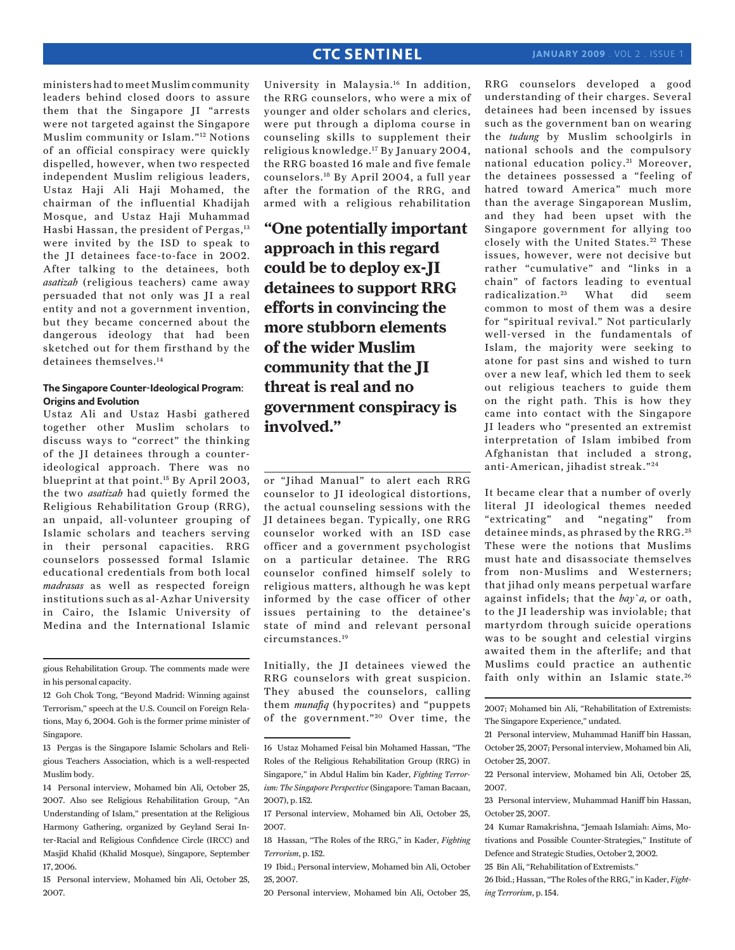## **CTC SENTINEL**

ministers had to meet Muslim community leaders behind closed doors to assure them that the Singapore JI "arrests were not targeted against the Singapore Muslim community or Islam."12 Notions of an official conspiracy were quickly dispelled, however, when two respected independent Muslim religious leaders, Ustaz Haji Ali Haji Mohamed, the chairman of the influential Khadijah Mosque, and Ustaz Haji Muhammad Hasbi Hassan, the president of Pergas, 13 were invited by the ISD to speak to the JI detainees face-to-face in 2002. After talking to the detainees, both *asatizah* (religious teachers) came away persuaded that not only was JI a real entity and not a government invention, but they became concerned about the dangerous ideology that had been sketched out for them firsthand by the detainees themselves.14

### **The Singapore Counter-Ideological Program: Origins and Evolution**

Ustaz Ali and Ustaz Hasbi gathered together other Muslim scholars to discuss ways to "correct" the thinking of the JI detainees through a counterideological approach. There was no blueprint at that point.15 By April 2003, the two *asatizah* had quietly formed the Religious Rehabilitation Group (RRG), an unpaid, all-volunteer grouping of Islamic scholars and teachers serving in their personal capacities. RRG counselors possessed formal Islamic educational credentials from both local *madrasas* as well as respected foreign institutions such as al-Azhar University in Cairo, the Islamic University of Medina and the International Islamic

gious Rehabilitation Group. The comments made were in his personal capacity.

12 Goh Chok Tong, "Beyond Madrid: Winning against Terrorism," speech at the U.S. Council on Foreign Relations, May 6, 2004. Goh is the former prime minister of Singapore.

13 Pergas is the Singapore Islamic Scholars and Religious Teachers Association, which is a well-respected Muslim body.

14 Personal interview, Mohamed bin Ali, October 25, 2007. Also see Religious Rehabilitation Group, "An Understanding of Islam," presentation at the Religious Harmony Gathering, organized by Geyland Serai Inter-Racial and Religious Confidence Circle (IRCC) and Masjid Khalid (Khalid Mosque), Singapore, September 17, 2006.

15 Personal interview, Mohamed bin Ali, October 25, 2007.

University in Malaysia.16 In addition, the RRG counselors, who were a mix of younger and older scholars and clerics, were put through a diploma course in counseling skills to supplement their religious knowledge.17 By January 2004, the RRG boasted 16 male and five female counselors.18 By April 2004, a full year after the formation of the RRG, and armed with a religious rehabilitation

**"One potentially important approach in this regard could be to deploy ex-JI detainees to support RRG efforts in convincing the more stubborn elements of the wider Muslim community that the JI threat is real and no government conspiracy is involved."**

or "Jihad Manual" to alert each RRG counselor to JI ideological distortions, the actual counseling sessions with the JI detainees began. Typically, one RRG counselor worked with an ISD case officer and a government psychologist on a particular detainee. The RRG counselor confined himself solely to religious matters, although he was kept informed by the case officer of other issues pertaining to the detainee's state of mind and relevant personal circumstances.19

Initially, the JI detainees viewed the RRG counselors with great suspicion. They abused the counselors, calling them *munafiq* (hypocrites) and "puppets of the government."<sup>20</sup> Over time, the RRG counselors developed a good understanding of their charges. Several detainees had been incensed by issues such as the government ban on wearing the *tudung* by Muslim schoolgirls in national schools and the compulsory national education policy.<sup>21</sup> Moreover, the detainees possessed a "feeling of hatred toward America" much more than the average Singaporean Muslim, and they had been upset with the Singapore government for allying too closely with the United States.<sup>22</sup> These issues, however, were not decisive but rather "cumulative" and "links in a chain" of factors leading to eventual radicalization. 23 What did seem common to most of them was a desire for "spiritual revival." Not particularly well-versed in the fundamentals of Islam, the majority were seeking to atone for past sins and wished to turn over a new leaf, which led them to seek out religious teachers to guide them on the right path. This is how they came into contact with the Singapore JI leaders who "presented an extremist interpretation of Islam imbibed from Afghanistan that included a strong, anti-American, jihadist streak."24

It became clear that a number of overly literal JI ideological themes needed "extricating" and "negating" from detainee minds, as phrased by the RRG. <sup>25</sup> These were the notions that Muslims must hate and disassociate themselves from non-Muslims and Westerners; that jihad only means perpetual warfare against infidels; that the *bay`a,* or oath, to the JI leadership was inviolable; that martyrdom through suicide operations was to be sought and celestial virgins awaited them in the afterlife; and that Muslims could practice an authentic faith only within an Islamic state.<sup>26</sup>

2007; Mohamed bin Ali, "Rehabilitation of Extremists: The Singapore Experience," undated.

<sup>16</sup> Ustaz Mohamed Feisal bin Mohamed Hassan, "The Roles of the Religious Rehabilitation Group (RRG) in Singapore," in Abdul Halim bin Kader, *Fighting Terrorism: The Singapore Perspective* (Singapore: Taman Bacaan, 2007), p. 152.

<sup>17</sup> Personal interview, Mohamed bin Ali, October 25, 2007.

<sup>18</sup> Hassan, "The Roles of the RRG," in Kader, *Fighting Terrorism*, p. 152.

<sup>19</sup> Ibid.; Personal interview, Mohamed bin Ali, October 25, 2007.

<sup>20</sup> Personal interview, Mohamed bin Ali, October 25,

<sup>21</sup> Personal interview, Muhammad Haniff bin Hassan, October 25, 2007; Personal interview, Mohamed bin Ali, October 25, 2007.

<sup>22</sup> Personal interview, Mohamed bin Ali, October 25, 2007.

<sup>23</sup> Personal interview, Muhammad Haniff bin Hassan, October 25, 2007.

<sup>24</sup> Kumar Ramakrishna, "Jemaah Islamiah: Aims, Motivations and Possible Counter-Strategies," Institute of Defence and Strategic Studies, October 2, 2002.

<sup>25</sup> Bin Ali, "Rehabilitation of Extremists."

<sup>26</sup> Ibid.; Hassan, "The Roles of the RRG," in Kader, *Fighting Terrorism*, p. 154.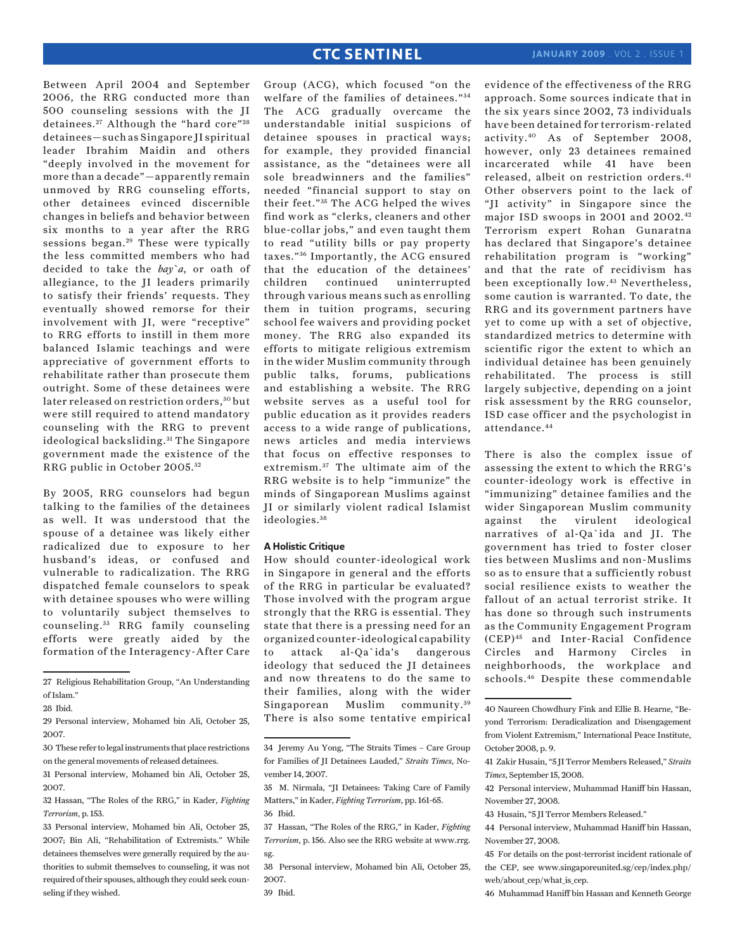Between April 2004 and September 2006, the RRG conducted more than 500 counseling sessions with the JI detainees.<sup>27</sup> Although the "hard core"<sup>28</sup> detainees—such as Singapore JI spiritual leader Ibrahim Maidin and others "deeply involved in the movement for more than a decade"—apparently remain unmoved by RRG counseling efforts, other detainees evinced discernible changes in beliefs and behavior between six months to a year after the RRG sessions began.<sup>29</sup> These were typically the less committed members who had decided to take the *bay`a*, or oath of allegiance, to the JI leaders primarily to satisfy their friends' requests. They eventually showed remorse for their involvement with JI, were "receptive" to RRG efforts to instill in them more balanced Islamic teachings and were appreciative of government efforts to rehabilitate rather than prosecute them outright. Some of these detainees were later released on restriction orders, 30 but were still required to attend mandatory counseling with the RRG to prevent ideological backsliding. 31 The Singapore government made the existence of the

By 2005, RRG counselors had begun talking to the families of the detainees as well. It was understood that the spouse of a detainee was likely either radicalized due to exposure to her husband's ideas, or confused and vulnerable to radicalization. The RRG dispatched female counselors to speak with detainee spouses who were willing to voluntarily subject themselves to counseling. 33 RRG family counseling efforts were greatly aided by the formation of the Interagency-After Care

RRG public in October 2005. 32

33 Personal interview, Mohamed bin Ali, October 25, 2007; Bin Ali, "Rehabilitation of Extremists." While detainees themselves were generally required by the authorities to submit themselves to counseling, it was not required of their spouses, although they could seek counseling if they wished.

**CTC SENTINEL** 

#### **A Holistic Critique**

How should counter-ideological work in Singapore in general and the efforts of the RRG in particular be evaluated? Those involved with the program argue strongly that the RRG is essential. They state that there is a pressing need for an organized counter-ideological capability to attack al-Qa`ida's dangerous ideology that seduced the JI detainees and now threatens to do the same to their families, along with the wider Singaporean Muslim community.<sup>39</sup> There is also some tentative empirical evidence of the effectiveness of the RRG approach. Some sources indicate that in the six years since 2002, 73 individuals have been detained for terrorism-related activity.40 As of September 2008, however, only 23 detainees remained incarcerated while 41 have been released, albeit on restriction orders.<sup>41</sup> Other observers point to the lack of "JI activity" in Singapore since the major ISD swoops in 2001 and 2002.42 Terrorism expert Rohan Gunaratna has declared that Singapore's detainee rehabilitation program is "working" and that the rate of recidivism has been exceptionally low.43 Nevertheless, some caution is warranted. To date, the RRG and its government partners have yet to come up with a set of objective, standardized metrics to determine with scientific rigor the extent to which an individual detainee has been genuinely rehabilitated. The process is still largely subjective, depending on a joint risk assessment by the RRG counselor, ISD case officer and the psychologist in attendance.44

There is also the complex issue of assessing the extent to which the RRG's counter-ideology work is effective in "immunizing" detainee families and the wider Singaporean Muslim community against the virulent ideological narratives of al-Qa`ida and JI. The government has tried to foster closer ties between Muslims and non-Muslims so as to ensure that a sufficiently robust social resilience exists to weather the fallout of an actual terrorist strike. It has done so through such instruments as the Community Engagement Program (CEP)45 and Inter-Racial Confidence Circles and Harmony Circles in neighborhoods, the workplace and schools.46 Despite these commendable

46 Muhammad Haniff bin Hassan and Kenneth George

<sup>27</sup> Religious Rehabilitation Group, "An Understanding of Islam."

<sup>28</sup> Ibid.

<sup>29</sup> Personal interview, Mohamed bin Ali, October 25, 2007.

<sup>30</sup> These refer to legal instruments that place restrictions on the general movements of released detainees.

<sup>31</sup> Personal interview, Mohamed bin Ali, October 25, 2007.

<sup>32</sup> Hassan, "The Roles of the RRG," in Kader, *Fighting Terrorism*, p. 153.

Group (ACG), which focused "on the welfare of the families of detainees." <sup>34</sup> The ACG gradually overcame the understandable initial suspicions of detainee spouses in practical ways; for example, they provided financial assistance, as the "detainees were all sole breadwinners and the families" needed "financial support to stay on their feet."<sup>35</sup> The ACG helped the wives find work as "clerks, cleaners and other blue-collar jobs," and even taught them to read "utility bills or pay property taxes." 36 Importantly, the ACG ensured that the education of the detainees' children continued uninterrupted through various means such as enrolling them in tuition programs, securing school fee waivers and providing pocket money. The RRG also expanded its efforts to mitigate religious extremism in the wider Muslim community through public talks, forums, publications and establishing a website. The RRG website serves as a useful tool for public education as it provides readers access to a wide range of publications, news articles and media interviews that focus on effective responses to extremism. <sup>37</sup> The ultimate aim of the RRG website is to help "immunize" the minds of Singaporean Muslims against JI or similarly violent radical Islamist ideologies. <sup>38</sup>

<sup>34</sup> Jeremy Au Yong, "The Straits Times – Care Group for Families of JI Detainees Lauded," *Straits Times*, November 14, 2007.

<sup>35</sup> M. Nirmala, "JI Detainees: Taking Care of Family Matters," in Kader, *Fighting Terrorism*, pp. 161-65. 36 Ibid.

<sup>37</sup> Hassan, "The Roles of the RRG," in Kader, *Fighting Terrorism*, p. 156. Also see the RRG website at www.rrg. sg.

<sup>38</sup> Personal interview, Mohamed bin Ali, October 25, 2007.

<sup>40</sup> Naureen Chowdhury Fink and Ellie B. Hearne, "Beyond Terrorism: Deradicalization and Disengagement from Violent Extremism," International Peace Institute, October 2008, p. 9.

<sup>41</sup> Zakir Husain, "5 JI Terror Members Released," *Straits Times*, September 15, 2008.

<sup>42</sup> Personal interview, Muhammad Haniff bin Hassan, November 27, 2008.

<sup>43</sup> Husain, "5 JI Terror Members Released."

<sup>44</sup> Personal interview, Muhammad Haniff bin Hassan, November 27, 2008.

<sup>45</sup> For details on the post-terrorist incident rationale of the CEP, see www.singaporeunited.sg/cep/index.php/ web/about\_cep/what\_is\_cep.